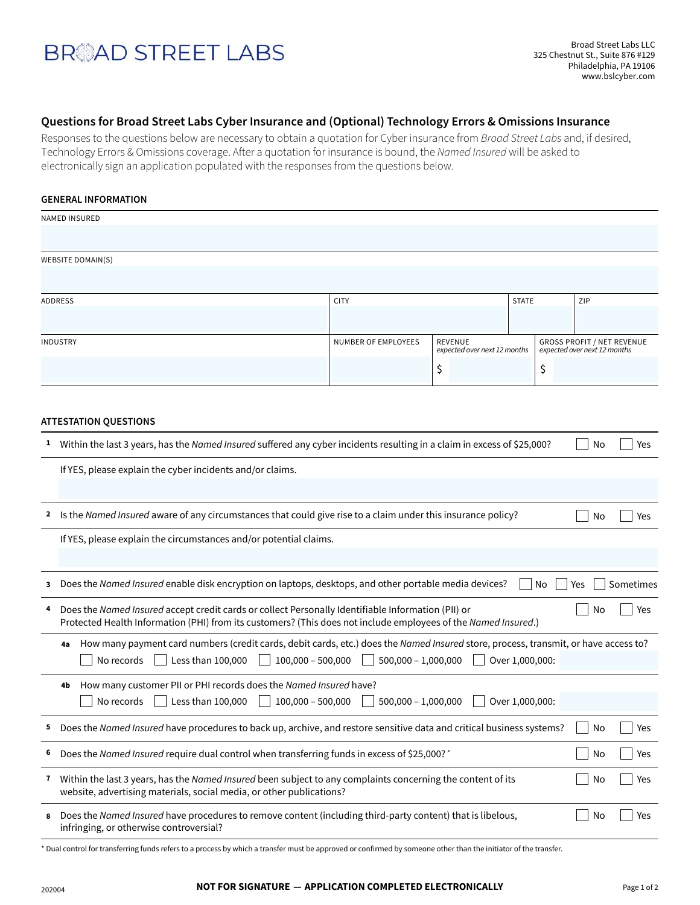# **BR**AD STREET LABS

### **Questions for Broad Street Labs Cyber Insurance and (Optional) Technology Errors & Omissions Insurance**

Responses to the questions below are necessary to obtain a quotation for Cyber insurance from Broad Street Labs and, if desired, Technology Errors & Omissions coverage. After a quotation for insurance is bound, the Named Insured will be asked to electronically sign an application populated with the responses from the questions below.

#### **GENERAL INFORMATION**

|                 | <b>NAMED INSURED</b>                                                                                                                                                                                                              |                                                                       |    |                                                                   |    |     |           |  |  |  |
|-----------------|-----------------------------------------------------------------------------------------------------------------------------------------------------------------------------------------------------------------------------------|-----------------------------------------------------------------------|----|-------------------------------------------------------------------|----|-----|-----------|--|--|--|
|                 |                                                                                                                                                                                                                                   |                                                                       |    |                                                                   |    |     |           |  |  |  |
|                 | <b>WEBSITE DOMAIN(S)</b>                                                                                                                                                                                                          |                                                                       |    |                                                                   |    |     |           |  |  |  |
|                 |                                                                                                                                                                                                                                   |                                                                       |    |                                                                   |    |     |           |  |  |  |
|                 | <b>ADDRESS</b>                                                                                                                                                                                                                    | <b>CITY</b>                                                           |    | <b>STATE</b>                                                      |    | ZIP |           |  |  |  |
|                 |                                                                                                                                                                                                                                   |                                                                       |    |                                                                   |    |     |           |  |  |  |
| <b>INDUSTRY</b> |                                                                                                                                                                                                                                   | NUMBER OF EMPLOYEES<br><b>REVENUE</b><br>expected over next 12 months |    | <b>GROSS PROFIT / NET REVENUE</b><br>expected over next 12 months |    |     |           |  |  |  |
|                 |                                                                                                                                                                                                                                   |                                                                       | \$ |                                                                   | \$ |     |           |  |  |  |
|                 |                                                                                                                                                                                                                                   |                                                                       |    |                                                                   |    |     |           |  |  |  |
|                 |                                                                                                                                                                                                                                   |                                                                       |    |                                                                   |    |     |           |  |  |  |
|                 | <b>ATTESTATION QUESTIONS</b>                                                                                                                                                                                                      |                                                                       |    |                                                                   |    |     |           |  |  |  |
|                 | <sup>1</sup> Within the last 3 years, has the Named Insured suffered any cyber incidents resulting in a claim in excess of \$25,000?                                                                                              |                                                                       |    |                                                                   |    | No  | Yes       |  |  |  |
|                 | If YES, please explain the cyber incidents and/or claims.                                                                                                                                                                         |                                                                       |    |                                                                   |    |     |           |  |  |  |
|                 |                                                                                                                                                                                                                                   |                                                                       |    |                                                                   |    |     |           |  |  |  |
| 2               | Is the Named Insured aware of any circumstances that could give rise to a claim under this insurance policy?                                                                                                                      |                                                                       |    |                                                                   |    | No  | Yes       |  |  |  |
|                 | If YES, please explain the circumstances and/or potential claims.                                                                                                                                                                 |                                                                       |    |                                                                   |    |     |           |  |  |  |
|                 |                                                                                                                                                                                                                                   |                                                                       |    |                                                                   |    |     |           |  |  |  |
| 3               | Does the Named Insured enable disk encryption on laptops, desktops, and other portable media devices?                                                                                                                             |                                                                       |    |                                                                   | No | Yes | Sometimes |  |  |  |
| 4               | Does the Named Insured accept credit cards or collect Personally Identifiable Information (PII) or<br>No<br>Yes<br>Protected Health Information (PHI) from its customers? (This does not include employees of the Named Insured.) |                                                                       |    |                                                                   |    |     |           |  |  |  |
|                 | How many payment card numbers (credit cards, debit cards, etc.) does the Named Insured store, process, transmit, or have access to?<br>4a                                                                                         |                                                                       |    |                                                                   |    |     |           |  |  |  |
|                 | $100,000 - 500,000$<br>$500,000 - 1,000,000$<br>No records<br>Less than 100,000<br>Over 1,000,000:                                                                                                                                |                                                                       |    |                                                                   |    |     |           |  |  |  |
|                 | How many customer PII or PHI records does the Named Insured have?<br>4b                                                                                                                                                           |                                                                       |    |                                                                   |    |     |           |  |  |  |
|                 | Less than 100,000<br>$100,000 - 500,000$<br>No records                                                                                                                                                                            | $500,000 - 1,000,000$                                                 |    | Over 1,000,000:                                                   |    |     |           |  |  |  |
| 5               | Does the Named Insured have procedures to back up, archive, and restore sensitive data and critical business systems?                                                                                                             |                                                                       |    |                                                                   |    | No  | Yes       |  |  |  |
| 6               | Does the Named Insured require dual control when transferring funds in excess of \$25,000? *                                                                                                                                      |                                                                       |    |                                                                   |    | No  | Yes       |  |  |  |
| $\mathbf{7}$    | Within the last 3 years, has the Named Insured been subject to any complaints concerning the content of its<br>website, advertising materials, social media, or other publications?                                               |                                                                       |    |                                                                   |    | No  | Yes       |  |  |  |
| 8               | Does the Named Insured have procedures to remove content (including third-party content) that is libelous,                                                                                                                        |                                                                       |    |                                                                   |    | No  | Yes       |  |  |  |

infringing, or otherwise controversial?

\* Dual control for transferring funds refers to a process by which a transfer must be approved or confirmed by someone other than the initiator of the transfer.